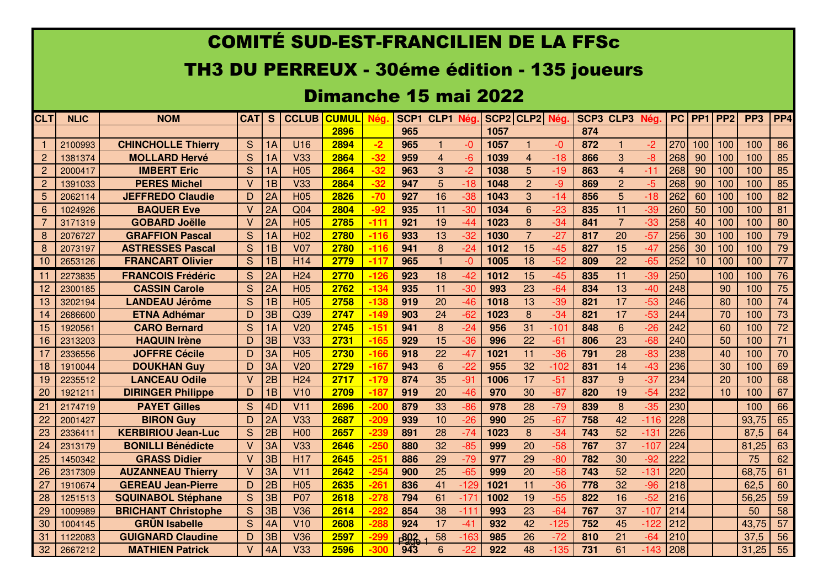## COMITÉ SUD-EST-FRANCILIEN DE LA FFSc

## TH3 DU PERREUX - 30éme édition - 135 joueurs

## Dimanche 15 mai 2022

| <b>CLT</b>     | <b>NLIC</b> | <b>NOM</b>                 | <b>CAT</b>   | S  | <b>CCLUB</b>    | <b>CUMUL</b> |        | SCP <sub>1</sub> | <b>CLP1 Nég</b>         |        | SCP2 CLP2 Nég |                |        | SCP <sub>3</sub> | CLP <sub>3</sub>         | <b>Néa</b>   | <b>PC</b> | PP <sub>1</sub> | <b>PP2</b> | PP <sub>3</sub> | PP <sub>4</sub> |
|----------------|-------------|----------------------------|--------------|----|-----------------|--------------|--------|------------------|-------------------------|--------|---------------|----------------|--------|------------------|--------------------------|--------------|-----------|-----------------|------------|-----------------|-----------------|
|                |             |                            |              |    |                 | 2896         |        | 965              |                         |        | 1057          |                |        | 874              |                          |              |           |                 |            |                 |                 |
|                | 2100993     | <b>CHINCHOLLE Thierry</b>  | S            | 1A | U16             | 2894         | $-2$   | 965              |                         | -0     | 1057          | -1             | -0     | 872              |                          | -2           | 270       | 100             | 100        | 100             | 86              |
| $\overline{2}$ | 1381374     | <b>MOLLARD Hervé</b>       | S            | 1A | V33             | 2864         | $-32$  | 959              | $\overline{\mathbf{4}}$ | $-6$   | 1039          | $\overline{4}$ | $-18$  | 866              | 3                        | $-8$         | 268       | 90              | 100        | 100             | 85              |
| $\overline{2}$ | 2000417     | <b>IMBERT Eric</b>         | S            | 1A | H <sub>05</sub> | 2864         | $-32$  | 963              | 3                       | -2     | 1038          | 5              | $-19$  | 863              | $\overline{\mathcal{A}}$ | $-1^{\circ}$ | 268       | 90              | 100        | 100             | 85              |
| $\overline{2}$ | 1391033     | <b>PERES Michel</b>        | $\vee$       | 1B | V33             | 2864         | $-32$  | 947              | 5                       | $-18$  | 1048          | $\overline{2}$ | -9     | 869              | $\overline{2}$           | $-5$         | 268       | 90              | 100        | 100             | 85              |
| 5              | 2062114     | <b>JEFFREDO Claudie</b>    | D            | 2A | H <sub>05</sub> | 2826         | $-70$  | 927              | 16                      | $-38$  | 1043          | 3              | $-14$  | 856              | 5                        | $-18$        | 262       | 60              | 100        | 100             | 82              |
| 6              | 1024926     | <b>BAQUER Eve</b>          | $\vee$       | 2A | Q <sub>04</sub> | 2804         | $-92$  | 935              | 11                      | $-30$  | 1034          | 6              | $-23$  | 835              | 11                       | $-39$        | 260       | 50              | 100        | 100             | 81              |
| $\overline{7}$ | 3171319     | <b>GOBARD Joëlle</b>       | $\vee$       | 2A | H <sub>05</sub> | 2785         | $-111$ | 921              | 19                      | $-44$  | 1023          | 8              | $-34$  | 841              | $\overline{7}$           | $-33$        | 258       | 40              | 100        | 100             | 80              |
| 8              | 2076727     | <b>GRAFFION Pascal</b>     | S            | 1A | H <sub>02</sub> | 2780         | $-116$ | 933              | 13                      | $-32$  | 1030          | $\overline{7}$ | $-27$  | 817              | 20                       | $-57$        | 256       | 30              | 100        | 100             | 79              |
| 8              | 2073197     | <b>ASTRESSES Pascal</b>    | S            | 1B | <b>V07</b>      | 2780         | $-116$ | 941              | 8                       | $-24$  | 1012          | 15             | $-45$  | 827              | 15                       | $-47$        | 256       | 30              | 100        | 100             | 79              |
| 10             | 2653126     | <b>FRANCART Olivier</b>    | S            | 1B | H <sub>14</sub> | 2779         | $-117$ | 965              |                         | -0     | 1005          | 18             | $-52$  | 809              | $\overline{22}$          | $-65$        | 252       | 10              | 100        | 100             | $\overline{77}$ |
| 11             | 2273835     | <b>FRANCOIS Frédéric</b>   | S            | 2A | H <sub>24</sub> | 2770         | $-126$ | 923              | 18                      | $-42$  | 1012          | 15             | $-45$  | 835              | 11                       | $-39$        | 250       |                 | 100        | 100             | 76              |
| 12             | 2300185     | <b>CASSIN Carole</b>       | S            | 2A | H <sub>05</sub> | 2762         | $-134$ | 935              | 11                      | $-30$  | 993           | 23             | $-64$  | 834              | 13                       | $-40$        | 248       |                 | 90         | 100             | 75              |
| 13             | 3202194     | <b>LANDEAU Jérôme</b>      | S            | 1B | H <sub>05</sub> | 2758         | $-138$ | 919              | 20                      | $-46$  | 1018          | 13             | $-39$  | 821              | 17                       | $-53$        | 246       |                 | 80         | 100             | 74              |
| 14             | 2686600     | <b>ETNA Adhémar</b>        | D            | 3B | Q39             | 2747         | $-149$ | 903              | 24                      | $-62$  | 1023          | 8              | $-34$  | 821              | 17                       | $-53$        | 244       |                 | 70         | 100             | 73              |
| 15             | 1920561     | <b>CARO Bernard</b>        | S            | 1A | V <sub>20</sub> | 2745         | $-151$ | 941              | 8                       | $-24$  | 956           | 31             | $-101$ | 848              | 6                        | $-26$        | 242       |                 | 60         | 100             | 72              |
| 16             | 2313203     | <b>HAQUIN Irène</b>        | D            | 3B | V33             | 2731         | $-165$ | 929              | 15                      | $-36$  | 996           | 22             | $-61$  | 806              | 23                       | $-68$        | 240       |                 | 50         | 100             | 71              |
| 17             | 2336556     | <b>JOFFRE Cécile</b>       | D            | 3A | H <sub>05</sub> | 2730         | $-166$ | 918              | 22                      | $-47$  | 1021          | 11             | $-36$  | 791              | 28                       | $-83$        | 238       |                 | 40         | 100             | 70              |
| 18             | 1910044     | <b>DOUKHAN Guv</b>         | D            | 3A | V <sub>20</sub> | 2729         | $-167$ | 943              | 6                       | $-22$  | 955           | 32             | $-102$ | 831              | 14                       | $-43$        | 236       |                 | 30         | 100             | 69              |
| 19             | 2235512     | <b>LANCEAU Odile</b>       | V            | 2B | H <sub>24</sub> | 2717         | $-179$ | 874              | 35                      | $-91$  | 1006          | 17             | $-51$  | 837              | 9                        | $-37$        | 234       |                 | 20         | 100             | 68              |
| 20             | 1921211     | <b>DIRINGER Philippe</b>   | D            | 1B | V10             | 2709         | $-187$ | 919              | 20                      | $-46$  | 970           | 30             | $-87$  | 820              | 19                       | $-54$        | 232       |                 | 10         | 100             | 67              |
| 21             | 2174719     | <b>PAYET Gilles</b>        | S            | 4D | V11             | 2696         | $-200$ | 879              | 33                      | $-86$  | 978           | 28             | $-79$  | 839              | 8                        | $-35$        | 230       |                 |            | 100             | 66              |
| 22             | 2001427     | <b>BIRON Guy</b>           | D            | 2A | V33             | 2687         | $-209$ | 939              | 10                      | $-26$  | 990           | 25             | $-67$  | 758              | 42                       | $-116$       | 228       |                 |            | 93,75           | 65              |
| 23             | 2336411     | <b>KERBIRIOU Jean-Luc</b>  | S            | 2B | <b>H00</b>      | 2657         | $-239$ | 891              | 28                      | $-74$  | 1023          | 8              | $-34$  | 743              | 52                       | $-131$       | 226       |                 |            | 87.5            | 64              |
| 24             | 2313179     | <b>BONILLI Bénédicte</b>   | $\vee$       | 3A | V33             | 2646         | $-250$ | 880              | 32                      | $-85$  | 999           | 20             | $-58$  | 767              | 37                       | $-107$       | 224       |                 |            | 81,25           | 63              |
| 25             | 1450342     | <b>GRASS Didier</b>        | $\vee$       | 3B | H <sub>17</sub> | 2645         | $-251$ | 886              | 29                      | $-79$  | 977           | 29             | $-80$  | 782              | 30                       | $-92$        | 222       |                 |            | 75              | 62              |
| 26             | 2317309     | <b>AUZANNEAU Thierry</b>   | $\vee$       | 3A | V11             | 2642         | $-254$ | 900              | 25                      | $-65$  | 999           | 20             | $-58$  | 743              | 52                       | $-131$       | 220       |                 |            | 68,75           | 61              |
| 27             | 1910674     | <b>GEREAU Jean-Pierre</b>  | D            | 2B | H <sub>05</sub> | 2635         | $-261$ | 836              | 41                      | $-129$ | 1021          | 11             | $-36$  | 778              | 32                       | $-96$        | 218       |                 |            | 62,5            | 60              |
| 28             | 1251513     | <b>SQUINABOL Stéphane</b>  | S            | 3B | <b>P07</b>      | 2618         | $-278$ | 794              | 61                      | $-17$  | 1002          | 19             | $-55$  | 822              | 16                       | $-52$        | 216       |                 |            | 56,25           | 59              |
| 29             | 1009989     | <b>BRICHANT Christophe</b> | S            | 3B | <b>V36</b>      | 2614         | $-282$ | 854              | 38                      | -111   | 993           | 23             | $-64$  | 767              | 37                       | $-107$       | 214       |                 |            | 50              | 58              |
| 30             | 1004145     | <b>GRÜN Isabelle</b>       | S            | 4A | V10             | 2608         | $-288$ | 924              | 17                      | $-41$  | 932           | 42             | $-125$ | 752              | 45                       | $-12i$       | 212       |                 |            | 43,75           | 57              |
| 31             | 1122083     | <b>GUIGNARD Claudine</b>   | D            | 3B | V36             | 2597         | -29    | -892             | 58                      | -163   | 985           | 26             | $-72$  | 810              | 21                       | $-64$        | 210       |                 |            | 37,5            | 56              |
| 32             | 2667212     | <b>MATHIEN Patrick</b>     | $\mathbf{V}$ | 4A | V <sub>33</sub> | 2596         |        | 943              | 6                       | .22    | 922           | 48             | $-135$ | 731              | 61                       | $-143$       | 208       |                 |            | 31,25           | 55              |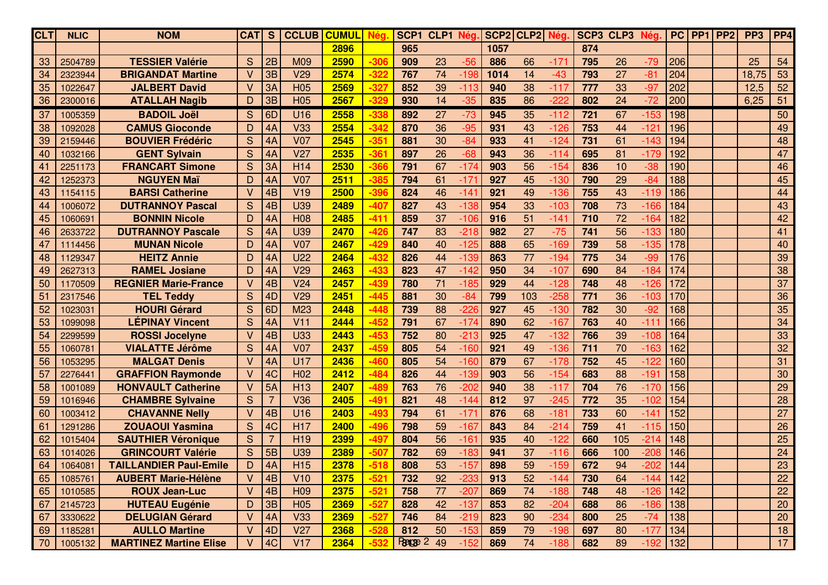| <b>CLT</b> | <b>NLIC</b> | <b>NOM</b>                    | <b>CAT</b> | S              | <b>CCLUB</b>    | <b>CUMUL</b> |           | SCP <sub>1</sub>  | CLP1 Né |        | SCP <sub>2</sub> | CLP2 Nég |        | SCP <sub>3</sub> | CLP3 | <b>Néa</b> | <b>PC</b> | $PP1$ PP2 | PP <sub>3</sub> | PP <sub>4</sub> |
|------------|-------------|-------------------------------|------------|----------------|-----------------|--------------|-----------|-------------------|---------|--------|------------------|----------|--------|------------------|------|------------|-----------|-----------|-----------------|-----------------|
|            |             |                               |            |                |                 | 2896         |           | 965               |         |        | 1057             |          |        | 874              |      |            |           |           |                 |                 |
| 33         | 2504789     | <b>TESSIER Valérie</b>        | S          | 2B             | M09             | 2590         | $-306$    | 909               | 23      | $-56$  | 886              | 66       | -171   | 795              | 26   | $-79$      | 206       |           | 25              | 54              |
| 34         | 2323944     | <b>BRIGANDAT Martine</b>      | $\vee$     | 3B             | <b>V29</b>      | 2574         | $-322$    | 767               | 74      | $-198$ | 1014             | 14       | $-43$  | 793              | 27   | $-81$      | 204       |           | 18,75           | 53              |
| 35         | 1022647     | <b>JALBERT David</b>          | $\vee$     | 3A             | H <sub>05</sub> | 2569         | $-32^{-}$ | 852               | 39      | -113   | 940              | 38       | $-117$ | 777              | 33   | $-97$      | 202       |           | 12,5            | 52              |
| 36         | 2300016     | <b>ATALLAH Nagib</b>          | D          | 3B             | H <sub>05</sub> | 2567         | $-329$    | 930               | 14      | $-35$  | 835              | 86       | $-222$ | 802              | 24   | $-72$      | 200       |           | 6,25            | 51              |
| 37         | 1005359     | <b>BADOIL Joël</b>            | S          | 6D             | U16             | 2558         | $-338$    | 892               | 27      | $-73$  | 945              | 35       | $-112$ | 721              | 67   | $-153$     | 198       |           |                 | 50              |
| 38         | 1092028     | <b>CAMUS Gioconde</b>         | D          | 4A             | <b>V33</b>      | 2554         | $-342$    | 870               | 36      | $-95$  | 931              | 43       | $-126$ | 753              | 44   | $-121$     | 196       |           |                 | 49              |
| 39         | 2159446     | <b>BOUVIER Frédéric</b>       | S          | 4A             | <b>V07</b>      | 2545         | $-351$    | 881               | 30      | $-84$  | 933              | 41       | $-124$ | 731              | 61   | $-143$     | 194       |           |                 | 48              |
| 40         | 1032166     | <b>GENT Sylvain</b>           | S          | 4A             | V <sub>27</sub> | 2535         | $-361$    | 897               | 26      | $-68$  | 943              | 36       | $-114$ | 695              | 81   | $-179$     | 192       |           |                 | 47              |
| 41         | 2251173     | <b>FRANCART Simone</b>        | S          | 3A             | H <sub>14</sub> | 2530         | $-366$    | 791               | 67      | $-174$ | 903              | 56       | $-154$ | 836              | 10   | $-38$      | 190       |           |                 | 46              |
| 42         | 1252373     | <b>NGUYEN Maï</b>             | D          | 4A             | <b>V07</b>      | 2511         | $-385$    | 794               | 61      | $-171$ | 927              | 45       | $-130$ | 790              | 29   | $-84$      | 188       |           |                 | 45              |
| 43         | 1154115     | <b>BARSI Catherine</b>        | V          | 4 <sub>B</sub> | V19             | 2500         | -396      | 824               | 46      | $-141$ | 921              | 49       | $-136$ | 755              | 43   | $-119$     | 186       |           |                 | 44              |
| 44         | 1006072     | <b>DUTRANNOY Pascal</b>       | S          | 4B             | U39             | 2489         | -407      | 827               | 43      | $-138$ | 954              | 33       | $-103$ | 708              | 73   | $-166$     | 184       |           |                 | 43              |
| 45         | 1060691     | <b>BONNIN Nicole</b>          | D          | 4A             | H <sub>08</sub> | 2485         | $-411$    | 859               | 37      | $-106$ | 916              | 51       | $-141$ | 710              | 72   | $-164$     | 182       |           |                 | 42              |
| 46         | 2633722     | <b>DUTRANNOY Pascale</b>      | S          | 4A             | <b>U39</b>      | 2470         | $-426$    | 747               | 83      | $-218$ | 982              | 27       | $-75$  | 741              | 56   | $-133$     | 180       |           |                 | 41              |
| 47         | 1114456     | <b>MUNAN Nicole</b>           | D          | 4A             | <b>V07</b>      | 2467         | $-429$    | 840               | 40      | $-125$ | 888              | 65       | $-169$ | 739              | 58   | $-135$     | 178       |           |                 | 40              |
| 48         | 1129347     | <b>HEITZ Annie</b>            | D          | 4A             | <b>U22</b>      | 2464         | -432      | 826               | 44      | $-139$ | 863              | 77       | $-194$ | 775              | 34   | $-99$      | 176       |           |                 | 39              |
| 49         | 2627313     | <b>RAMEL Josiane</b>          | D          | 4A             | <b>V29</b>      | 2463         | -433      | 823               | 47      | $-142$ | 950              | 34       | $-107$ | 690              | 84   | $-184$     | 174       |           |                 | 38              |
| 50         | 1170509     | <b>REGNIER Marie-France</b>   | $\vee$     | 4 <sub>B</sub> | V <sub>24</sub> | 2457         | $-439$    | 780               | 71      | $-185$ | 929              | 44       | $-128$ | 748              | 48   | $-126$     | 172       |           |                 | 37              |
| 51         | 2317546     | <b>TEL Teddy</b>              | S          | 4D             | V <sub>29</sub> | 2451         | $-445$    | 881               | 30      | $-84$  | 799              | 103      | $-258$ | 771              | 36   | $-103$     | 170       |           |                 | 36              |
| 52         | 1023031     | <b>HOURI Gérard</b>           | S          | 6D             | M23             | 2448         | $-448$    | 739               | 88      | $-226$ | 927              | 45       | $-130$ | 782              | 30   | $-92$      | 168       |           |                 | 35              |
| 53         | 1099098     | <b>LÉPINAY Vincent</b>        | S          | 4A             | V11             | 2444         | -452      | 791               | 67      | -174   | 890              | 62       | $-167$ | 763              | 40   | $-111$     | 166       |           |                 | 34              |
| 54         | 2299599     | <b>ROSSI Jocelyne</b>         | $\vee$     | 4B             | <b>U33</b>      | 2443         | $-453$    | 752               | 80      | $-213$ | 925              | 47       | $-132$ | 766              | 39   | $-108$     | 164       |           |                 | 33              |
| 55         | 1060781     | <b>VIALATTE Jérôme</b>        | S          | 4A             | <b>V07</b>      | 2437         | -459      | 805               | 54      | $-160$ | 921              | 49       | $-136$ | 711              | 70   | $-163$     | 162       |           |                 | 32              |
| 56         | 1053295     | <b>MALGAT Denis</b>           | $\vee$     | 4A             | <b>U17</b>      | 2436         | $-460$    | 805               | 54      | $-160$ | 879              | 67       | $-178$ | 752              | 45   | $-122$     | 160       |           |                 | 31              |
| 57         | 2276441     | <b>GRAFFION Raymonde</b>      | V          | 4C             | H <sub>02</sub> | 2412         | -484      | 826               | 44      | $-139$ | 903              | 56       | $-154$ | 683              | 88   | $-191$     | 158       |           |                 | 30              |
| 58         | 1001089     | <b>HONVAULT Catherine</b>     | V          | 5A             | H <sub>13</sub> | 2407         | -489      | 763               | 76      | $-202$ | 940              | 38       | $-117$ | 704              | 76   | $-170$     | 156       |           |                 | 29              |
| 59         | 1016946     | <b>CHAMBRE Sylvaine</b>       | S          | $\overline{7}$ | <b>V36</b>      | 2405         | -491      | 821               | 48      | $-144$ | 812              | 97       | $-245$ | 772              | 35   | $-102$     | 154       |           |                 | 28              |
| 60         | 1003412     | <b>CHAVANNE Nelly</b>         | V          | 4 <sub>B</sub> | U16             | 2403         | -493      | 794               | 61      | -171   | 876              | 68       | $-181$ | 733              | 60   | $-141$     | 152       |           |                 | 27              |
| 61         | 1291286     | <b>ZOUAOUI Yasmina</b>        | S          | 4C             | H <sub>17</sub> | 2400         | -496      | 798               | 59      | $-167$ | 843              | 84       | $-214$ | 759              | 41   | $-115$     | 150       |           |                 | 26              |
| 62         | 1015404     | <b>SAUTHIER Véronique</b>     | S          | $\overline{7}$ | H <sub>19</sub> | 2399         | $-497$    | 804               | 56      | $-161$ | 935              | 40       | $-122$ | 660              | 105  | $-214$     | 148       |           |                 | 25              |
| 63         | 1014026     | <b>GRINCOURT Valérie</b>      | S          | 5B             | U39             | 2389         | -507      | 782               | 69      | -183   | 941              | 37       | $-116$ | 666              | 100  | $-208$     | 146       |           |                 | 24              |
| 64         | 1064081     | <b>TAILLANDIER Paul-Emile</b> | D          | 4A             | H <sub>15</sub> | 2378         |           | 808               | 53      | $-157$ | 898              | 59       | -159   | 672              | 94   | $-202$     | 144       |           |                 | 23              |
| 65         | 1085761     | <b>AUBERT Marie-Hélène</b>    | V          | 4B             | V10             | 2375         | $-521$    | 732               | 92      | $-233$ | 913              | 52       | $-144$ | 730              | 64   | $-144$     | 142       |           |                 | 22              |
| 65         | 1010585     | <b>ROUX Jean-Luc</b>          | $\vee$     | 4 <sub>B</sub> | H <sub>09</sub> | 2375         | $-521$    | 758               | 77      | $-207$ | 869              | 74       | $-188$ | 748              | 48   | $-126$     | 142       |           |                 | 22              |
| 67         | 2145723     | <b>HUTEAU Eugénie</b>         | D          | 3B             | H <sub>05</sub> | 2369         | $-527$    | 828               | 42      | $-137$ | 853              | 82       | $-204$ | 688              | 86   | $-186$     | 138       |           |                 | 20              |
| 67         | 3330622     | <b>DELUGIAN Gérard</b>        | V          | 4A             | <b>V33</b>      | 2369         | $-527$    | 746               | 84      | $-219$ | 823              | 90       | $-234$ | 800              | 25   | $-74$      | 138       |           |                 | 20              |
| 69         | 1185281     | <b>AULLO Martine</b>          | $\vee$     | 4 <sub>D</sub> | V27             | 2368         | $-528$    | 812               | 50      | $-153$ | 859              | 79       | $-198$ | 697              | 80   | $-177$     | 134       |           |                 | 18              |
| 70         | 1005132     | <b>MARTINEZ Martine Elise</b> | V          | 4C             | V17             | 2364         | $-532$    | <b>RBIGB</b> 2 49 |         | $-152$ | 869              | 74       | $-188$ | 682              | 89   | $-192$     | 132       |           |                 | 17              |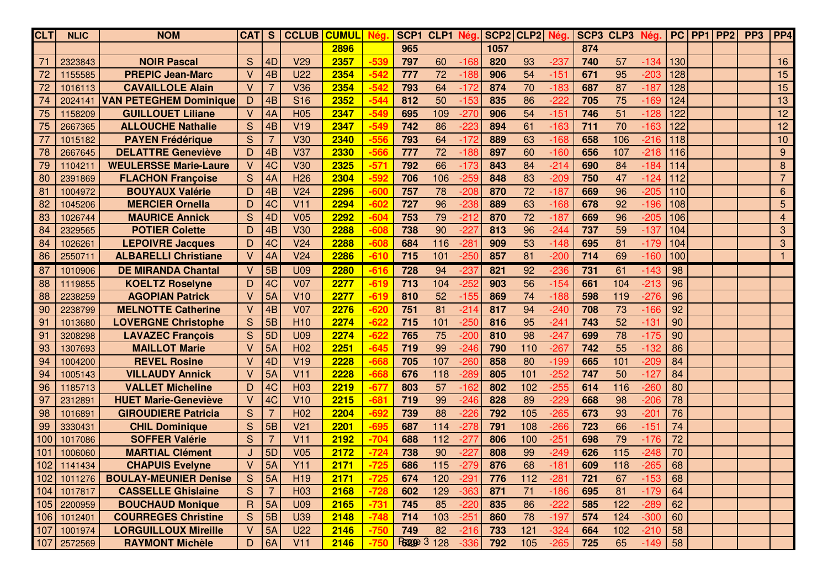| <b>CLT</b> | <b>NLIC</b> | <b>NOM</b>                    | <b>CAT</b>   | S              | <b>CCLUB</b>    | <b>CUMUL</b> |        | SCP <sub>1</sub> | CLP1 Nég            |        | SCP <sub>2</sub> | CLP2 | <b>Nég</b> | SCP <sub>3</sub> | CLP3 | <b>Néa</b> | <b>PC</b> | PP <sub>1</sub> | PP2 | PP <sub>3</sub> | PP <sub>4</sub> |
|------------|-------------|-------------------------------|--------------|----------------|-----------------|--------------|--------|------------------|---------------------|--------|------------------|------|------------|------------------|------|------------|-----------|-----------------|-----|-----------------|-----------------|
|            |             |                               |              |                |                 | 2896         |        | 965              |                     |        | 1057             |      |            | 874              |      |            |           |                 |     |                 |                 |
| 71         | 2323843     | <b>NOIR Pascal</b>            | S            | 4D             | V29             | 2357         | $-539$ | 797              | 60                  | $-168$ | 820              | 93   | $-237$     | 740              | 57   | $-134$     | 130       |                 |     |                 | 16              |
| 72         | 1155585     | <b>PREPIC Jean-Marc</b>       | V            | 4B             | <b>U22</b>      | 2354         | $-542$ | 777              | 72                  | $-188$ | 906              | 54   | $-151$     | 671              | 95   | $-203$     | 128       |                 |     |                 | 15              |
| 72         | 1016113     | <b>CAVAILLOLE Alain</b>       | $\vee$       | 7              | <b>V36</b>      | 2354         | $-542$ | 793              | 64                  | $-172$ | 874              | 70   | $-183$     | 687              | 87   | $-187$     | 128       |                 |     |                 | 15              |
| 74         | 2024141     | <b>VAN PETEGHEM Dominique</b> | D            | 4 <sub>B</sub> | <b>S16</b>      | 2352         | $-544$ | 812              | 50                  | $-153$ | 835              | 86   | $-222$     | 705              | 75   | $-169$     | 124       |                 |     |                 | 13              |
| 75         | 1158209     | <b>GUILLOUET Liliane</b>      | V            | 4A             | H <sub>05</sub> | 2347         | $-549$ | 695              | 109                 | $-270$ | 906              | 54   | $-151$     | 746              | 51   | $-128$     | 122       |                 |     |                 | 12              |
| 75         | 2667365     | <b>ALLOUCHE Nathalie</b>      | S            | 4 <sub>B</sub> | V19             | 2347         | $-549$ | 742              | 86                  | $-223$ | 894              | 61   | $-163$     | 711              | 70   | $-163$     | 122       |                 |     |                 | 12              |
| 77         | 1015182     | <b>PAYEN Frédérique</b>       | S            | $\overline{7}$ | <b>V30</b>      | 2340         | $-556$ | 793              | 64                  | $-172$ | 889              | 63   | $-168$     | 658              | 106  | $-216$     | 118       |                 |     |                 | 10              |
| 78         | 2667645     | <b>DELATTRE Geneviève</b>     | D            | 4B             | V <sub>37</sub> | 2330         | $-566$ | 777              | 72                  | $-188$ | 897              | 60   | $-160$     | 656              | 107  | $-218$     | 116       |                 |     |                 | 9               |
| 79         | 1104211     | <b>WEULERSSE Marie-Laure</b>  | $\vee$       | 4C             | <b>V30</b>      | 2325         | $-571$ | 792              | 66                  | $-173$ | 843              | 84   | $-214$     | 690              | 84   | $-184$     | 114       |                 |     |                 | 8               |
| 80         | 2391869     | <b>FLACHON Françoise</b>      | S            | 4A             | H <sub>26</sub> | 2304         | $-592$ | 706              | 106                 | $-259$ | 848              | 83   | $-209$     | 750              | 47   | $-124$     | 112       |                 |     |                 | $\overline{7}$  |
| 81         | 1004972     | <b>BOUYAUX Valérie</b>        | D            | 4 <sub>B</sub> | V <sub>24</sub> | 2296         | $-600$ | 757              | 78                  | $-208$ | 870              | 72   | $-187$     | 669              | 96   | $-205$     | 110       |                 |     |                 | 6               |
| 82         | 1045206     | <b>MERCIER Ornella</b>        | D            | 4C             | V11             | 2294         | $-602$ | 727              | 96                  | $-238$ | 889              | 63   | $-168$     | 678              | 92   | $-196$     | 108       |                 |     |                 | 5               |
| 83         | 1026744     | <b>MAURICE Annick</b>         | S            | 4D             | V05             | 2292         | $-604$ | 753              | 79                  | $-212$ | 870              | 72   | $-187$     | 669              | 96   | $-205$     | 106       |                 |     |                 | 4               |
| 84         | 2329565     | <b>POTIER Colette</b>         | D            | 4 <sub>B</sub> | <b>V30</b>      | 2288         | $-608$ | 738              | 90                  | $-227$ | 813              | 96   | $-244$     | 737              | 59   | $-137$     | 104       |                 |     |                 | 3               |
| 84         | 1026261     | <b>LEPOIVRE Jacques</b>       | D            | 4C             | V <sub>24</sub> | 2288         | $-608$ | 684              | 116                 | $-281$ | 909              | 53   | $-148$     | 695              | 81   | $-179$     | 104       |                 |     |                 | 3               |
| 86         | 2550711     | <b>ALBARELLI Christiane</b>   | V            | 4A             | V <sub>24</sub> | 2286         | $-610$ | 715              | 101                 | $-250$ | 857              | 81   | $-200$     | 714              | 69   | $-160$     | 100       |                 |     |                 |                 |
| 87         | 1010906     | <b>DE MIRANDA Chantal</b>     | V            | 5B             | <b>U09</b>      | 2280         | $-616$ | 728              | 94                  | $-237$ | 821              | 92   | $-236$     | 731              | 61   | $-143$     | 98        |                 |     |                 |                 |
| 88         | 1119855     | <b>KOELTZ Roselyne</b>        | D            | 4C             | <b>V07</b>      | 2277         | $-619$ | 713              | 104                 | $-252$ | 903              | 56   | $-154$     | 661              | 104  | $-213$     | 96        |                 |     |                 |                 |
| 88         | 2238259     | <b>AGOPIAN Patrick</b>        | V            | 5A             | V10             | 2277         | $-619$ | 810              | 52                  | $-155$ | 869              | 74   | $-188$     | 598              | 119  | $-276$     | 96        |                 |     |                 |                 |
| 90         | 2238799     | <b>MELNOTTE Catherine</b>     | $\vee$       | 4 <sub>B</sub> | <b>V07</b>      | 2276         | $-620$ | 751              | 81                  | $-214$ | 817              | 94   | $-240$     | 708              | 73   | $-166$     | 92        |                 |     |                 |                 |
| 91         | 1013680     | <b>LOVERGNE Christophe</b>    | S            | 5B             | H <sub>10</sub> | 2274         | $-622$ | 715              | 101                 | $-250$ | 816              | 95   | $-241$     | 743              | 52   | $-131$     | 90        |                 |     |                 |                 |
| 91         | 3208298     | <b>LAVAZEC François</b>       | S            | 5D             | <b>U09</b>      | 2274         | $-622$ | 765              | 75                  | $-200$ | 810              | 98   | $-247$     | 699              | 78   | $-175$     | 90        |                 |     |                 |                 |
| 93         | 1307693     | <b>MAILLOT Marie</b>          | V            | 5A             | H <sub>02</sub> | 2251         | $-645$ | 719              | 99                  | $-246$ | 790              | 110  | $-267$     | 742              | 55   | $-132$     | 86        |                 |     |                 |                 |
| 94         | 1004200     | <b>REVEL Rosine</b>           | V            | 4D             | V19             | 2228         | $-668$ | 705              | 107                 | $-260$ | 858              | 80   | $-199$     | 665              | 101  | $-209$     | 84        |                 |     |                 |                 |
| 94         | 1005143     | <b>VILLAUDY Annick</b>        | $\vee$       | 5A             | V11             | 2228         | $-668$ | 676              | 118                 | $-289$ | 805              | 101  | $-252$     | 747              | 50   | $-127$     | 84        |                 |     |                 |                 |
| 96         | 1185713     | <b>VALLET Micheline</b>       | D            | 4C             | H <sub>03</sub> | 2219         | $-677$ | 803              | 57                  | $-162$ | 802              | 102  | $-255$     | 614              | 116  | $-260$     | 80        |                 |     |                 |                 |
| 97         | 2312891     | <b>HUET Marie-Geneviève</b>   | $\vee$       | 4C             | V10             | 2215         | $-681$ | 719              | 99                  | $-246$ | 828              | 89   | $-229$     | 668              | 98   | $-206$     | 78        |                 |     |                 |                 |
| 98         | 1016891     | <b>GIROUDIERE Patricia</b>    | S            | 7              | H <sub>02</sub> | 2204         | $-692$ | 739              | 88                  | $-226$ | 792              | 105  | $-265$     | 673              | 93   | $-201$     | 76        |                 |     |                 |                 |
| 99         | 3330431     | <b>CHIL Dominique</b>         | S            | 5B             | V <sub>21</sub> | 2201         | $-695$ | 687              | 114                 | $-278$ | 791              | 108  | $-266$     | 723              | 66   | $-151$     | 74        |                 |     |                 |                 |
| 100        | 1017086     | <b>SOFFER Valérie</b>         | S            | $\overline{7}$ | V11             | 2192         | $-704$ | 688              | 112                 | $-277$ | 806              | 100  | $-251$     | 698              | 79   | $-176$     | 72        |                 |     |                 |                 |
| 101        | 1006060     | <b>MARTIAL Clément</b>        | J            | 5D             | V05             | 2172         | $-724$ | 738              | 90                  | $-227$ | 808              | 99   | $-249$     | 626              | 115  | $-248$     | 70        |                 |     |                 |                 |
| 102        | 1141434     | <b>CHAPUIS Evelyne</b>        | V            | 5A             | <b>Y11</b>      | 2171         |        | 686              | 115                 | $-279$ | 876              | 68   | -181       | 609              | 118  | $-265$     | 68        |                 |     |                 |                 |
|            | 102 1011276 | <b>BOULAY-MEUNIER Denise</b>  | S            | 5A             | H <sub>19</sub> | 2171         | $-725$ | 674              | 120                 | $-291$ | 776              | 112  | $-281$     | 721              | 67   | $-153$     | 68        |                 |     |                 |                 |
|            | 104 1017817 | <b>CASSELLE Ghislaine</b>     | S            | $\overline{7}$ | H <sub>03</sub> | 2168         | $-728$ | 602              | 129                 | $-363$ | 871              | 71   | $-186$     | 695              | 81   | $-179$     | 64        |                 |     |                 |                 |
|            | 105 2200959 | <b>BOUCHAUD Monique</b>       | $\mathsf{R}$ | 5A             | U09             | 2165         | $-731$ | 745              | 85                  | $-220$ | 835              | 86   | $-222$     | 585              | 122  | $-289$     | 62        |                 |     |                 |                 |
|            | 106 1012401 | <b>COURREGES Christine</b>    | S            | 5B             | U39             | 2148         | $-748$ | 714              | 103                 | $-251$ | 860              | 78   | $-197$     | 574              | 124  | $-300$     | 60        |                 |     |                 |                 |
| 107        | 1001974     | <b>LORGUILLOUX Mireille</b>   | V            | 5A             | <b>U22</b>      | 2146         | $-750$ | 749              | 82                  | $-216$ | 733              | 121  | $-324$     | 664              | 102  | $-210$     | 58        |                 |     |                 |                 |
| 107        | 2572569     | <b>RAYMONT Michèle</b>        | D            | 6A             | V11             | 2146         | $-750$ |                  | <b>REZUDE 3 128</b> | $-336$ | 792              | 105  | $-265$     | 725              | 65   | $-149$     | 58        |                 |     |                 |                 |